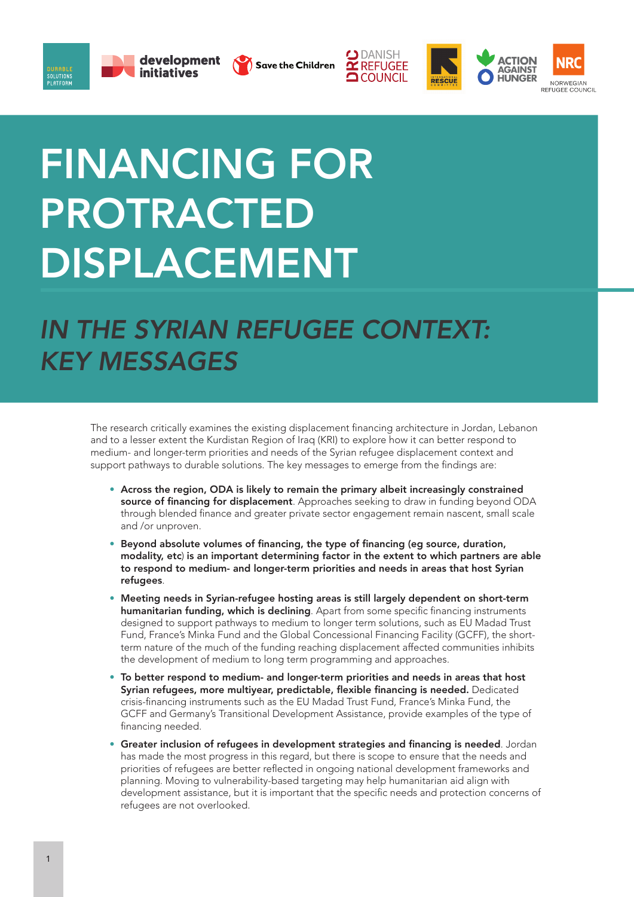







## FINANCING FOR PROTRACTED DISPLACEMENT

## *IN THE SYRIAN REFUGEE CONTEXT: KEY MESSAGES*

The research critically examines the existing displacement financing architecture in Jordan, Lebanon and to a lesser extent the Kurdistan Region of Iraq (KRI) to explore how it can better respond to medium- and longer-term priorities and needs of the Syrian refugee displacement context and support pathways to durable solutions. The key messages to emerge from the findings are:

- Across the region, ODA is likely to remain the primary albeit increasingly constrained source of financing for displacement. Approaches seeking to draw in funding beyond ODA through blended finance and greater private sector engagement remain nascent, small scale and /or unproven.
- Beyond absolute volumes of financing, the type of financing (eg source, duration, modality, etc) is an important determining factor in the extent to which partners are able to respond to medium- and longer-term priorities and needs in areas that host Syrian refugees.
- Meeting needs in Syrian-refugee hosting areas is still largely dependent on short-term humanitarian funding, which is declining. Apart from some specific financing instruments designed to support pathways to medium to longer term solutions, such as EU Madad Trust Fund, France's Minka Fund and the Global Concessional Financing Facility (GCFF), the shortterm nature of the much of the funding reaching displacement affected communities inhibits the development of medium to long term programming and approaches.
- To better respond to medium- and longer-term priorities and needs in areas that host Syrian refugees, more multiyear, predictable, flexible financing is needed. Dedicated crisis-financing instruments such as the EU Madad Trust Fund, France's Minka Fund, the GCFF and Germany's Transitional Development Assistance, provide examples of the type of financing needed.
- Greater inclusion of refugees in development strategies and financing is needed. Jordan has made the most progress in this regard, but there is scope to ensure that the needs and priorities of refugees are better reflected in ongoing national development frameworks and planning. Moving to vulnerability-based targeting may help humanitarian aid align with development assistance, but it is important that the specific needs and protection concerns of refugees are not overlooked.